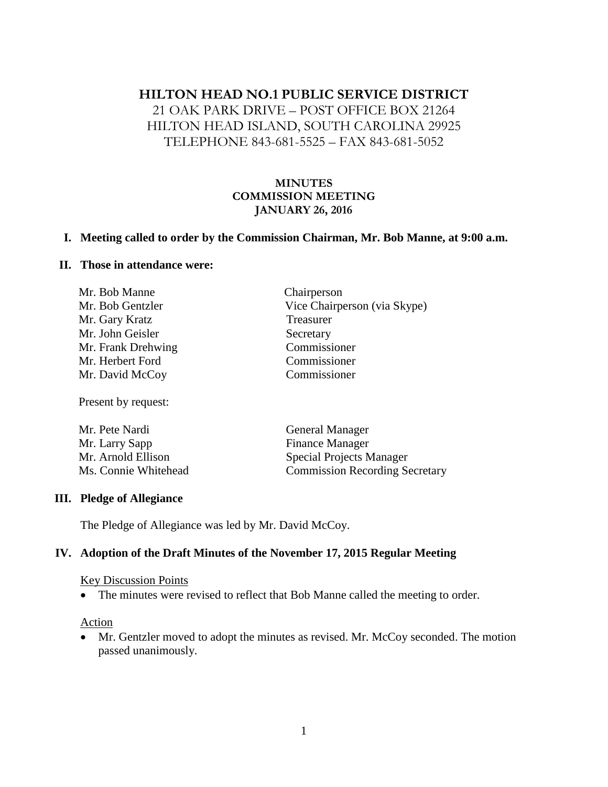# **HILTON HEAD NO.1 PUBLIC SERVICE DISTRICT**

## 21 OAK PARK DRIVE – POST OFFICE BOX 21264 HILTON HEAD ISLAND, SOUTH CAROLINA 29925 TELEPHONE 843-681-5525 – FAX 843-681-5052

### **MINUTES COMMISSION MEETING JANUARY 26, 2016**

#### **I. Meeting called to order by the Commission Chairman, Mr. Bob Manne, at 9:00 a.m.**

#### **II. Those in attendance were:**

| Mr. Bob Manne      | Chairperson                  |
|--------------------|------------------------------|
| Mr. Bob Gentzler   | Vice Chairperson (via Skype) |
| Mr. Gary Kratz     | Treasurer                    |
| Mr. John Geisler   | Secretary                    |
| Mr. Frank Drehwing | Commissioner                 |
| Mr. Herbert Ford   | Commissioner                 |
| Mr. David McCoy    | Commissioner                 |
|                    |                              |

Present by request:

| Mr. Pete Nardi       | General Manager                       |
|----------------------|---------------------------------------|
| Mr. Larry Sapp       | <b>Finance Manager</b>                |
| Mr. Arnold Ellison   | <b>Special Projects Manager</b>       |
| Ms. Connie Whitehead | <b>Commission Recording Secretary</b> |

#### **III. Pledge of Allegiance**

The Pledge of Allegiance was led by Mr. David McCoy.

#### **IV. Adoption of the Draft Minutes of the November 17, 2015 Regular Meeting**

#### Key Discussion Points

• The minutes were revised to reflect that Bob Manne called the meeting to order.

#### Action

 Mr. Gentzler moved to adopt the minutes as revised. Mr. McCoy seconded. The motion passed unanimously.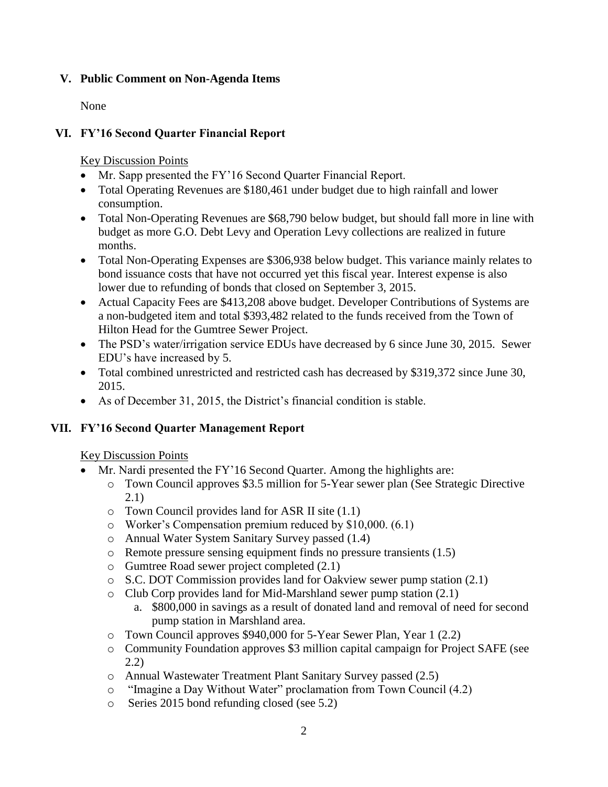### **V. Public Comment on Non-Agenda Items**

None

## **VI. FY'16 Second Quarter Financial Report**

Key Discussion Points

- Mr. Sapp presented the FY'16 Second Quarter Financial Report.
- Total Operating Revenues are \$180,461 under budget due to high rainfall and lower consumption.
- Total Non-Operating Revenues are \$68,790 below budget, but should fall more in line with budget as more G.O. Debt Levy and Operation Levy collections are realized in future months.
- Total Non-Operating Expenses are \$306,938 below budget. This variance mainly relates to bond issuance costs that have not occurred yet this fiscal year. Interest expense is also lower due to refunding of bonds that closed on September 3, 2015.
- Actual Capacity Fees are \$413,208 above budget. Developer Contributions of Systems are a non-budgeted item and total \$393,482 related to the funds received from the Town of Hilton Head for the Gumtree Sewer Project.
- The PSD's water/irrigation service EDUs have decreased by 6 since June 30, 2015. Sewer EDU's have increased by 5.
- Total combined unrestricted and restricted cash has decreased by \$319,372 since June 30, 2015.
- As of December 31, 2015, the District's financial condition is stable.

## **VII. FY'16 Second Quarter Management Report**

### Key Discussion Points

- Mr. Nardi presented the FY'16 Second Quarter. Among the highlights are:
	- o Town Council approves \$3.5 million for 5-Year sewer plan (See Strategic Directive 2.1)
	- o Town Council provides land for ASR II site (1.1)
	- o Worker's Compensation premium reduced by \$10,000. (6.1)
	- o Annual Water System Sanitary Survey passed (1.4)
	- o Remote pressure sensing equipment finds no pressure transients (1.5)
	- o Gumtree Road sewer project completed (2.1)
	- o S.C. DOT Commission provides land for Oakview sewer pump station (2.1)
	- o Club Corp provides land for Mid-Marshland sewer pump station (2.1)
		- a. \$800,000 in savings as a result of donated land and removal of need for second pump station in Marshland area.
	- o Town Council approves \$940,000 for 5-Year Sewer Plan, Year 1 (2.2)
	- o Community Foundation approves \$3 million capital campaign for Project SAFE (see 2.2)
	- o Annual Wastewater Treatment Plant Sanitary Survey passed (2.5)
	- o "Imagine a Day Without Water" proclamation from Town Council (4.2)
	- o Series 2015 bond refunding closed (see 5.2)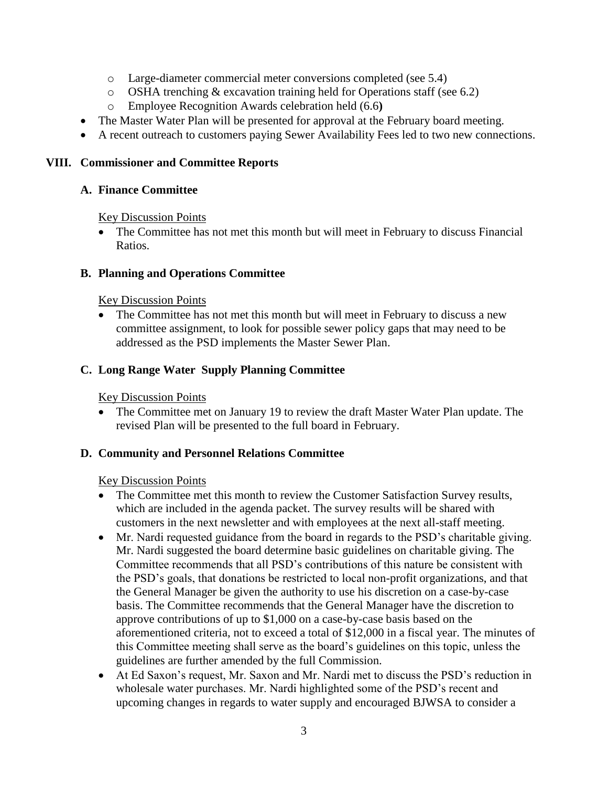- o Large-diameter commercial meter conversions completed (see 5.4)
- o OSHA trenching & excavation training held for Operations staff (see 6.2)
- o Employee Recognition Awards celebration held (6.6**)**
- The Master Water Plan will be presented for approval at the February board meeting.
- A recent outreach to customers paying Sewer Availability Fees led to two new connections.

### **VIII. Commissioner and Committee Reports**

#### **A. Finance Committee**

Key Discussion Points

• The Committee has not met this month but will meet in February to discuss Financial Ratios.

#### **B. Planning and Operations Committee**

#### Key Discussion Points

• The Committee has not met this month but will meet in February to discuss a new committee assignment, to look for possible sewer policy gaps that may need to be addressed as the PSD implements the Master Sewer Plan.

### **C. Long Range Water Supply Planning Committee**

Key Discussion Points

• The Committee met on January 19 to review the draft Master Water Plan update. The revised Plan will be presented to the full board in February.

### **D. Community and Personnel Relations Committee**

### Key Discussion Points

- The Committee met this month to review the Customer Satisfaction Survey results, which are included in the agenda packet. The survey results will be shared with customers in the next newsletter and with employees at the next all-staff meeting.
- Mr. Nardi requested guidance from the board in regards to the PSD's charitable giving. Mr. Nardi suggested the board determine basic guidelines on charitable giving. The Committee recommends that all PSD's contributions of this nature be consistent with the PSD's goals, that donations be restricted to local non-profit organizations, and that the General Manager be given the authority to use his discretion on a case-by-case basis. The Committee recommends that the General Manager have the discretion to approve contributions of up to \$1,000 on a case-by-case basis based on the aforementioned criteria, not to exceed a total of \$12,000 in a fiscal year. The minutes of this Committee meeting shall serve as the board's guidelines on this topic, unless the guidelines are further amended by the full Commission.
- At Ed Saxon's request, Mr. Saxon and Mr. Nardi met to discuss the PSD's reduction in wholesale water purchases. Mr. Nardi highlighted some of the PSD's recent and upcoming changes in regards to water supply and encouraged BJWSA to consider a